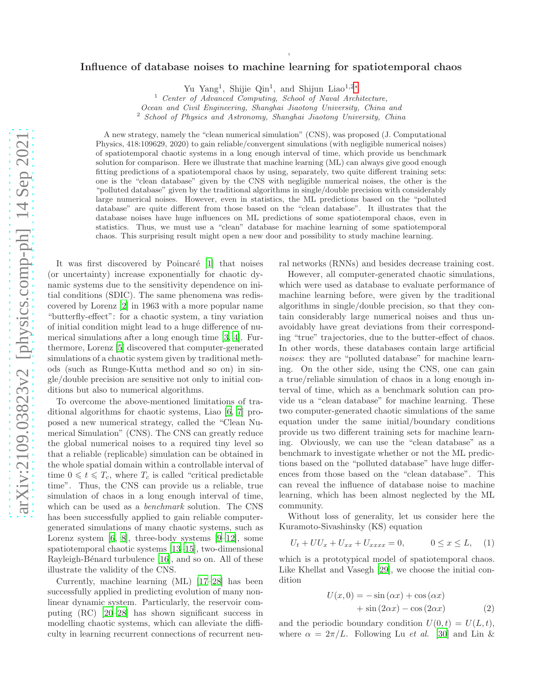## Influence of database noises to machine learning for spatiotemporal chaos

,

Yu Yang<sup>1</sup>, Shijie Qin<sup>1</sup>, and Shijun Liao<sup>1,2[∗](#page-4-0)</sup>

Ocean and Civil Engineering, Shanghai Jiaotong University, China and

<sup>2</sup> School of Physics and Astronomy, Shanghai Jiaotong University, China

A new strategy, namely the "clean numerical simulation" (CNS), was proposed (J. Computational Physics, 418:109629, 2020) to gain reliable/convergent simulations (with negligible numerical noises) of spatiotemporal chaotic systems in a long enough interval of time, which provide us benchmark solution for comparison. Here we illustrate that machine learning (ML) can always give good enough fitting predictions of a spatiotemporal chaos by using, separately, two quite different training sets: one is the "clean database" given by the CNS with negligible numerical noises, the other is the "polluted database" given by the traditional algorithms in single/double precision with considerably large numerical noises. However, even in statistics, the ML predictions based on the "polluted database" are quite different from those based on the "clean database". It illustrates that the database noises have huge influences on ML predictions of some spatiotemporal chaos, even in statistics. Thus, we must use a "clean" database for machine learning of some spatiotemporal chaos. This surprising result might open a new door and possibility to study machine learning.

It was first discovered by Poincaré [\[1\]](#page-4-1) that noises (or uncertainty) increase exponentially for chaotic dynamic systems due to the sensitivity dependence on initial conditions (SDIC). The same phenomena was rediscovered by Lorenz [\[2\]](#page-4-2) in 1963 with a more popular name "butterfly-effect": for a chaotic system, a tiny variation of initial condition might lead to a huge difference of numerical simulations after a long enough time [\[3,](#page-4-3) [4\]](#page-4-4). Furthermore, Lorenz [\[5\]](#page-4-5) discovered that computer-generated simulations of a chaotic system given by traditional methods (such as Runge-Kutta method and so on) in single/double precision are sensitive not only to initial conditions but also to numerical algorithms.

To overcome the above-mentioned limitations of traditional algorithms for chaotic systems, Liao [\[6,](#page-4-6) [7\]](#page-4-7) proposed a new numerical strategy, called the "Clean Numerical Simulation" (CNS). The CNS can greatly reduce the global numerical noises to a required tiny level so that a reliable (replicable) simulation can be obtained in the whole spatial domain within a controllable interval of time  $0 \leq t \leq T_c$ , where  $T_c$  is called "critical predictable" time". Thus, the CNS can provide us a reliable, true simulation of chaos in a long enough interval of time, which can be used as a *benchmark* solution. The CNS has been successfully applied to gain reliable computergenerated simulations of many chaotic systems, such as Lorenz system  $[6, 8]$  $[6, 8]$ , three-body systems  $[9-12]$ , some spatiotemporal chaotic systems [\[13](#page-4-11)[–15](#page-4-12)], two-dimensional Rayleigh-Bénard turbulence [\[16\]](#page-4-13), and so on. All of these illustrate the validity of the CNS.

Currently, machine learning (ML) [\[17](#page-4-14)[–28](#page-4-15)] has been successfully applied in predicting evolution of many nonlinear dynamic system. Particularly, the reservoir computing (RC) [\[20](#page-4-16)[–28\]](#page-4-15) has shown significant success in modelling chaotic systems, which can alleviate the difficulty in learning recurrent connections of recurrent neural networks (RNNs) and besides decrease training cost.

However, all computer-generated chaotic simulations, which were used as database to evaluate performance of machine learning before, were given by the traditional algorithms in single/double precision, so that they contain considerably large numerical noises and thus unavoidably have great deviations from their corresponding "true" trajectories, due to the butter-effect of chaos. In other words, these databases contain large artificial noises: they are "polluted database" for machine learning. On the other side, using the CNS, one can gain a true/reliable simulation of chaos in a long enough interval of time, which as a benchmark solution can provide us a "clean database" for machine learning. These two computer-generated chaotic simulations of the same equation under the same initial/boundary conditions provide us two different training sets for machine learning. Obviously, we can use the "clean database" as a benchmark to investigate whether or not the ML predictions based on the "polluted database" have huge differences from those based on the "clean database". This can reveal the influence of database noise to machine learning, which has been almost neglected by the ML community.

Without loss of generality, let us consider here the Kuramoto-Sivashinsky (KS) equation

$$
U_t + U U_x + U_{xx} + U_{xxxx} = 0, \t 0 \le x \le L, \t (1)
$$

which is a prototypical model of spatiotemporal chaos. Like Khellat and Vasegh [\[29](#page-4-17)], we choose the initial condition

<span id="page-0-1"></span><span id="page-0-0"></span>
$$
U(x,0) = -\sin(\alpha x) + \cos(\alpha x)
$$
  
+ 
$$
\sin(2\alpha x) - \cos(2\alpha x)
$$
 (2)

and the periodic boundary condition  $U(0, t) = U(L, t)$ , where  $\alpha = 2\pi/L$ . Following Lu *et al.* [\[30\]](#page-4-18) and Lin &

 $1$  Center of Advanced Computing, School of Naval Architecture,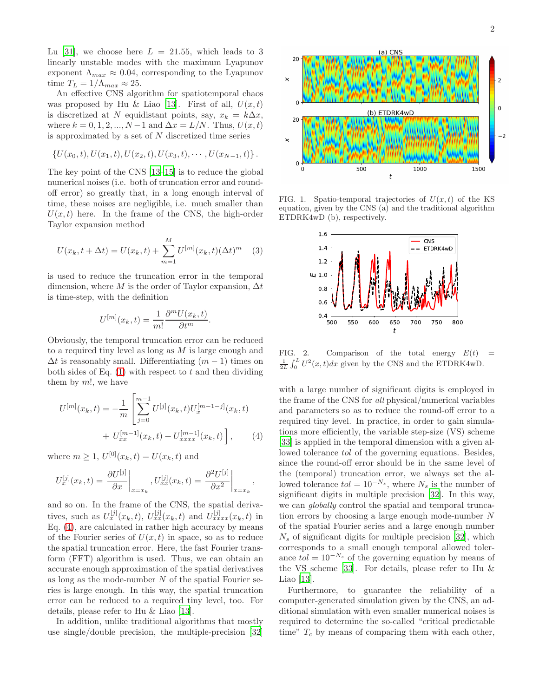Lu [\[31\]](#page-4-19), we choose here  $L = 21.55$ , which leads to 3 linearly unstable modes with the maximum Lyapunov exponent  $\Lambda_{max} \approx 0.04$ , corresponding to the Lyapunov time  $T_L = 1/\Lambda_{max} \approx 25$ .

An effective CNS algorithm for spatiotemporal chaos was proposed by Hu & Liao [\[13\]](#page-4-11). First of all,  $U(x,t)$ is discretized at N equidistant points, say,  $x_k = k\Delta x$ , where  $k = 0, 1, 2, ..., N - 1$  and  $\Delta x = L/N$ . Thus,  $U(x, t)$ is approximated by a set of  $N$  discretized time series

$$
\{U(x_0,t),U(x_1,t),U(x_2,t),U(x_3,t),\cdots,U(x_{N-1},t)\}.
$$

The key point of the CNS [\[13](#page-4-11)[–15](#page-4-12)] is to reduce the global numerical noises (i.e. both of truncation error and roundoff error) so greatly that, in a long enough interval of time, these noises are negligible, i.e. much smaller than  $U(x, t)$  here. In the frame of the CNS, the high-order Taylor expansion method

$$
U(x_k, t + \Delta t) = U(x_k, t) + \sum_{m=1}^{M} U^{[m]}(x_k, t) (\Delta t)^m \quad (3)
$$

is used to reduce the truncation error in the temporal dimension, where M is the order of Taylor expansion,  $\Delta t$ is time-step, with the definition

$$
U^{[m]}(x_k,t) = \frac{1}{m!} \frac{\partial^m U(x_k,t)}{\partial t^m}.
$$

Obviously, the temporal truncation error can be reduced to a required tiny level as long as M is large enough and  $\Delta t$  is reasonably small. Differentiating  $(m-1)$  times on both sides of Eq.  $(1)$  with respect to t and then dividing them by  $m!$ , we have

<span id="page-1-0"></span>
$$
U^{[m]}(x_k, t) = -\frac{1}{m} \left[ \sum_{j=0}^{m-1} U^{[j]}(x_k, t) U_x^{[m-1-j]}(x_k, t) + U_{xx}^{[m-1]}(x_k, t) + U_{xxxx}^{[m-1]}(x_k, t) \right],
$$
 (4)

where  $m \ge 1$ ,  $U^{[0]}(x_k, t) = U(x_k, t)$  and

$$
U_x^{[j]}(x_k,t) = \left. \frac{\partial U^{[j]}}{\partial x} \right|_{x=x_k}, U_{xx}^{[j]}(x_k,t) = \left. \frac{\partial^2 U^{[j]}}{\partial x^2} \right|_{x=x_k},
$$

and so on. In the frame of the CNS, the spatial derivatives, such as  $U_x^{[j]}(x_k,t)$ ,  $U_{xx}^{[j]}(x_k,t)$  and  $U_{xxxx}^{[j]}(x_k,t)$  in Eq. [\(4\)](#page-1-0), are calculated in rather high accuracy by means of the Fourier series of  $U(x, t)$  in space, so as to reduce the spatial truncation error. Here, the fast Fourier transform (FFT) algorithm is used. Thus, we can obtain an accurate enough approximation of the spatial derivatives as long as the mode-number  $N$  of the spatial Fourier series is large enough. In this way, the spatial truncation error can be reduced to a required tiny level, too. For details, please refer to Hu & Liao [\[13\]](#page-4-11).

In addition, unlike traditional algorithms that mostly use single/double precision, the multiple-precision [\[32](#page-4-20)]



FIG. 1. Spatio-temporal trajectories of  $U(x,t)$  of the KS equation, given by the CNS (a) and the traditional algorithm ETDRK4wD (b), respectively.

<span id="page-1-1"></span>

<span id="page-1-2"></span>FIG. 2. Comparison of the total energy  $E(t)$  =  $\frac{1}{2L}\int_0^L U^2(x,t)dx$  given by the CNS and the ETDRK4wD.

with a large number of significant digits is employed in the frame of the CNS for all physical/numerical variables and parameters so as to reduce the round-off error to a required tiny level. In practice, in order to gain simulations more efficiently, the variable step-size (VS) scheme [\[33\]](#page-4-21) is applied in the temporal dimension with a given allowed tolerance tol of the governing equations. Besides, since the round-off error should be in the same level of the (temporal) truncation error, we always set the allowed tolerance  $tol = 10^{-N_s}$ , where  $N_s$  is the number of significant digits in multiple precision [\[32\]](#page-4-20). In this way, we can *globally* control the spatial and temporal truncation errors by choosing a large enough mode-number N of the spatial Fourier series and a large enough number  $N_s$  of significant digits for multiple precision [\[32\]](#page-4-20), which corresponds to a small enough temporal allowed tolerance  $tol = 10^{-N_s}$  of the governing equation by means of the VS scheme [\[33\]](#page-4-21). For details, please refer to Hu & Liao [\[13](#page-4-11)].

Furthermore, to guarantee the reliability of a computer-generated simulation given by the CNS, an additional simulation with even smaller numerical noises is required to determine the so-called "critical predictable time"  $T_c$  by means of comparing them with each other,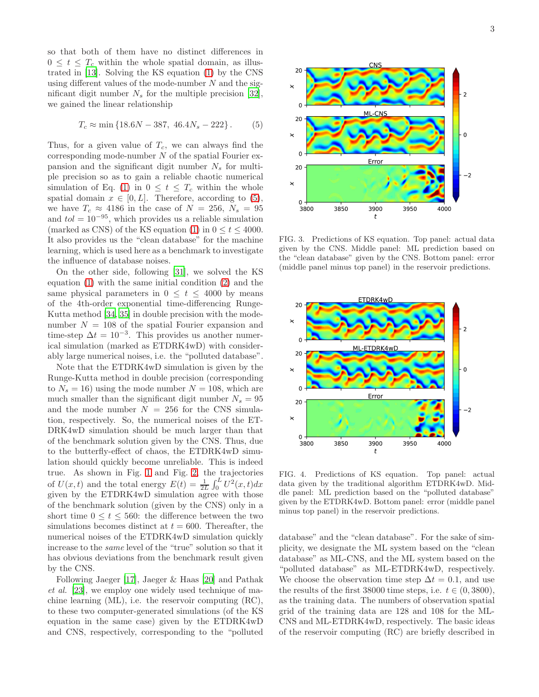so that both of them have no distinct differences in  $0 \leq t \leq T_c$  within the whole spatial domain, as illustrated in [\[13\]](#page-4-11). Solving the KS equation [\(1\)](#page-0-0) by the CNS using different values of the mode-number  $N$  and the significant digit number  $N_s$  for the multiple precision [\[32\]](#page-4-20), we gained the linear relationship

<span id="page-2-0"></span>
$$
T_c \approx \min\{18.6N - 387, 46.4N_s - 222\}.
$$
 (5)

Thus, for a given value of  $T_c$ , we can always find the corresponding mode-number  $N$  of the spatial Fourier expansion and the significant digit number  $N_s$  for multiple precision so as to gain a reliable chaotic numerical simulation of Eq. [\(1\)](#page-0-0) in  $0 \leq t \leq T_c$  within the whole spatial domain  $x \in [0, L]$ . Therefore, according to [\(5\)](#page-2-0), we have  $T_c \approx 4186$  in the case of  $N = 256$ ,  $N_s = 95$ and  $tol = 10^{-95}$ , which provides us a reliable simulation (marked as CNS) of the KS equation [\(1\)](#page-0-0) in  $0 \le t \le 4000$ . It also provides us the "clean database" for the machine learning, which is used here as a benchmark to investigate the influence of database noises.

On the other side, following [\[31\]](#page-4-19), we solved the KS equation [\(1\)](#page-0-0) with the same initial condition [\(2\)](#page-0-1) and the same physical parameters in  $0 \leq t \leq 4000$  by means of the 4th-order exponential time-differencing Runge-Kutta method [\[34,](#page-4-22) [35\]](#page-4-23) in double precision with the modenumber  $N = 108$  of the spatial Fourier expansion and time-step  $\Delta t = 10^{-3}$ . This provides us another numerical simulation (marked as ETDRK4wD) with considerably large numerical noises, i.e. the "polluted database".

Note that the ETDRK4wD simulation is given by the Runge-Kutta method in double precision (corresponding to  $N_s = 16$ ) using the mode number  $N = 108$ , which are much smaller than the significant digit number  $N_s = 95$ and the mode number  $N = 256$  for the CNS simulation, respectively. So, the numerical noises of the ET-DRK4wD simulation should be much larger than that of the benchmark solution given by the CNS. Thus, due to the butterfly-effect of chaos, the ETDRK4wD simulation should quickly become unreliable. This is indeed true. As shown in Fig. [1](#page-1-1) and Fig. [2,](#page-1-2) the trajectories of  $U(x,t)$  and the total energy  $E(t) = \frac{1}{2L} \int_0^L U^2(x,t) dx$ given by the ETDRK4wD simulation agree with those of the benchmark solution (given by the CNS) only in a short time  $0 \le t \le 560$ : the difference between the two simulations becomes distinct at  $t = 600$ . Thereafter, the numerical noises of the ETDRK4wD simulation quickly increase to the same level of the "true" solution so that it has obvious deviations from the benchmark result given by the CNS.

Following Jaeger [\[17\]](#page-4-14), Jaeger & Haas [\[20](#page-4-16)] and Pathak et al. [\[23](#page-4-24)], we employ one widely used technique of machine learning (ML), i.e. the reservoir computing (RC), to these two computer-generated simulations (of the KS equation in the same case) given by the ETDRK4wD and CNS, respectively, corresponding to the "polluted



<span id="page-2-1"></span>FIG. 3. Predictions of KS equation. Top panel: actual data given by the CNS. Middle panel: ML prediction based on the "clean database" given by the CNS. Bottom panel: error (middle panel minus top panel) in the reservoir predictions.



<span id="page-2-2"></span>FIG. 4. Predictions of KS equation. Top panel: actual data given by the traditional algorithm ETDRK4wD. Middle panel: ML prediction based on the "polluted database" given by the ETDRK4wD. Bottom panel: error (middle panel minus top panel) in the reservoir predictions.

database" and the "clean database". For the sake of simplicity, we designate the ML system based on the "clean database" as ML-CNS, and the ML system based on the "polluted database" as ML-ETDRK4wD, respectively. We choose the observation time step  $\Delta t = 0.1$ , and use the results of the first 38000 time steps, i.e.  $t \in (0, 3800)$ , as the training data. The numbers of observation spatial grid of the training data are 128 and 108 for the ML-CNS and ML-ETDRK4wD, respectively. The basic ideas of the reservoir computing (RC) are briefly described in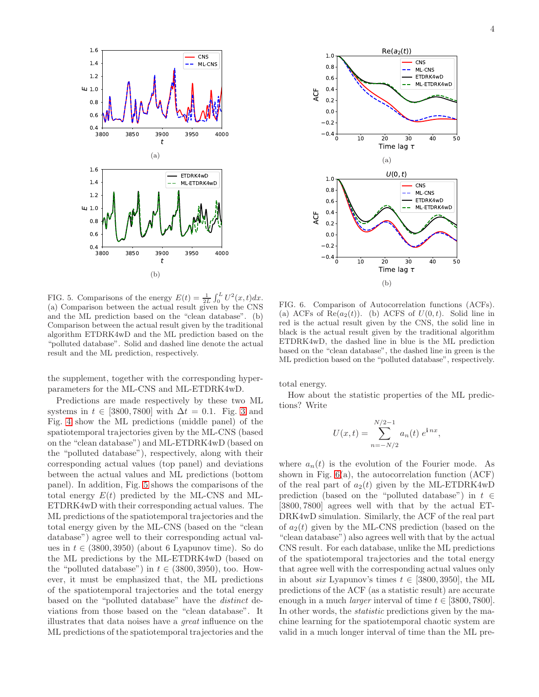

<span id="page-3-0"></span>FIG. 5. Comparisons of the energy  $E(t) = \frac{1}{2L} \int_0^L U^2(x, t) dx$ . (a) Comparison between the actual result given by the CNS and the ML prediction based on the "clean database". (b) Comparison between the actual result given by the traditional algorithm ETDRK4wD and the ML prediction based on the "polluted database". Solid and dashed line denote the actual result and the ML prediction, respectively.

the supplement, together with the corresponding hyperparameters for the ML-CNS and ML-ETDRK4wD.

Predictions are made respectively by these two ML systems in  $t \in [3800, 7800]$  with  $\Delta t = 0.1$ . Fig. [3](#page-2-1) and Fig. [4](#page-2-2) show the ML predictions (middle panel) of the spatiotemporal trajectories given by the ML-CNS (based on the "clean database") and ML-ETDRK4wD (based on the "polluted database"), respectively, along with their corresponding actual values (top panel) and deviations between the actual values and ML predictions (bottom panel). In addition, Fig. [5](#page-3-0) shows the comparisons of the total energy  $E(t)$  predicted by the ML-CNS and ML-ETDRK4wD with their corresponding actual values. The ML predictions of the spatiotemporal trajectories and the total energy given by the ML-CNS (based on the "clean database") agree well to their corresponding actual values in  $t \in (3800, 3950)$  (about 6 Lyapunov time). So do the ML predictions by the ML-ETDRK4wD (based on the "polluted database") in  $t \in (3800, 3950)$ , too. However, it must be emphasized that, the ML predictions of the spatiotemporal trajectories and the total energy based on the "polluted database" have the distinct deviations from those based on the "clean database". It illustrates that data noises have a great influence on the ML predictions of the spatiotemporal trajectories and the



<span id="page-3-1"></span>FIG. 6. Comparison of Autocorrelation functions (ACFs). (a) ACFs of  $\text{Re}(a_2(t))$ . (b) ACFS of  $U(0, t)$ . Solid line in red is the actual result given by the CNS, the solid line in black is the actual result given by the traditional algorithm ETDRK4wD, the dashed line in blue is the ML prediction based on the "clean database", the dashed line in green is the ML prediction based on the "polluted database", respectively.

total energy.

How about the statistic properties of the ML predictions? Write

$$
U(x,t) = \sum_{n=-N/2}^{N/2-1} a_n(t) e^{i n x},
$$

where  $a_n(t)$  is the evolution of the Fourier mode. As shown in Fig.  $6(a)$ , the autocorrelation function  $(ACF)$ of the real part of  $a_2(t)$  given by the ML-ETDRK4wD prediction (based on the "polluted database") in  $t \in$ [3800, 7800] agrees well with that by the actual ET-DRK4wD simulation. Similarly, the ACF of the real part of  $a_2(t)$  given by the ML-CNS prediction (based on the "clean database") also agrees well with that by the actual CNS result. For each database, unlike the ML predictions of the spatiotemporal trajectories and the total energy that agree well with the corresponding actual values only in about *six* Lyapunov's times  $t \in [3800, 3950]$ , the ML predictions of the ACF (as a statistic result) are accurate enough in a much *larger* interval of time  $t \in [3800, 7800]$ . In other words, the statistic predictions given by the machine learning for the spatiotemporal chaotic system are valid in a much longer interval of time than the ML pre